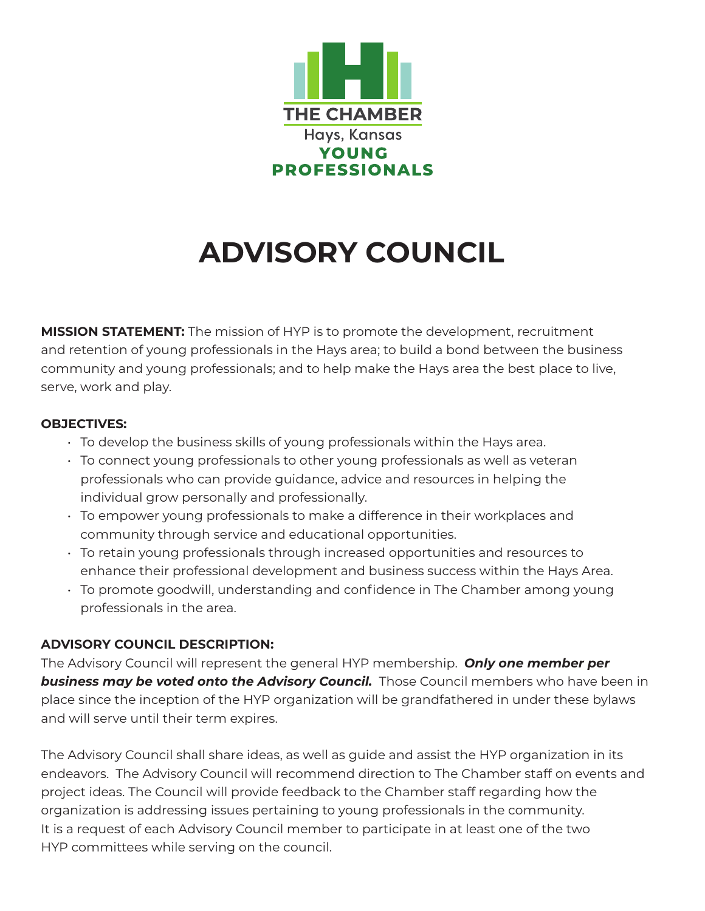

## **ADVISORY COUNCIL**

**MISSION STATEMENT:** The mission of HYP is to promote the development, recruitment and retention of young professionals in the Hays area; to build a bond between the business community and young professionals; and to help make the Hays area the best place to live, serve, work and play.

## **OBJECTIVES:**

- To develop the business skills of young professionals within the Hays area.
- To connect young professionals to other young professionals as well as veteran professionals who can provide guidance, advice and resources in helping the individual grow personally and professionally.
- To empower young professionals to make a difference in their workplaces and community through service and educational opportunities.
- To retain young professionals through increased opportunities and resources to enhance their professional development and business success within the Hays Area.
- To promote goodwill, understanding and confidence in The Chamber among young professionals in the area.

## **ADVISORY COUNCIL DESCRIPTION:**

The Advisory Council will represent the general HYP membership. *Only one member per*  **business may be voted onto the Advisory Council.** Those Council members who have been in place since the inception of the HYP organization will be grandfathered in under these bylaws and will serve until their term expires.

The Advisory Council shall share ideas, as well as guide and assist the HYP organization in its endeavors. The Advisory Council will recommend direction to The Chamber staff on events and project ideas. The Council will provide feedback to the Chamber staff regarding how the organization is addressing issues pertaining to young professionals in the community. It is a request of each Advisory Council member to participate in at least one of the two HYP committees while serving on the council.